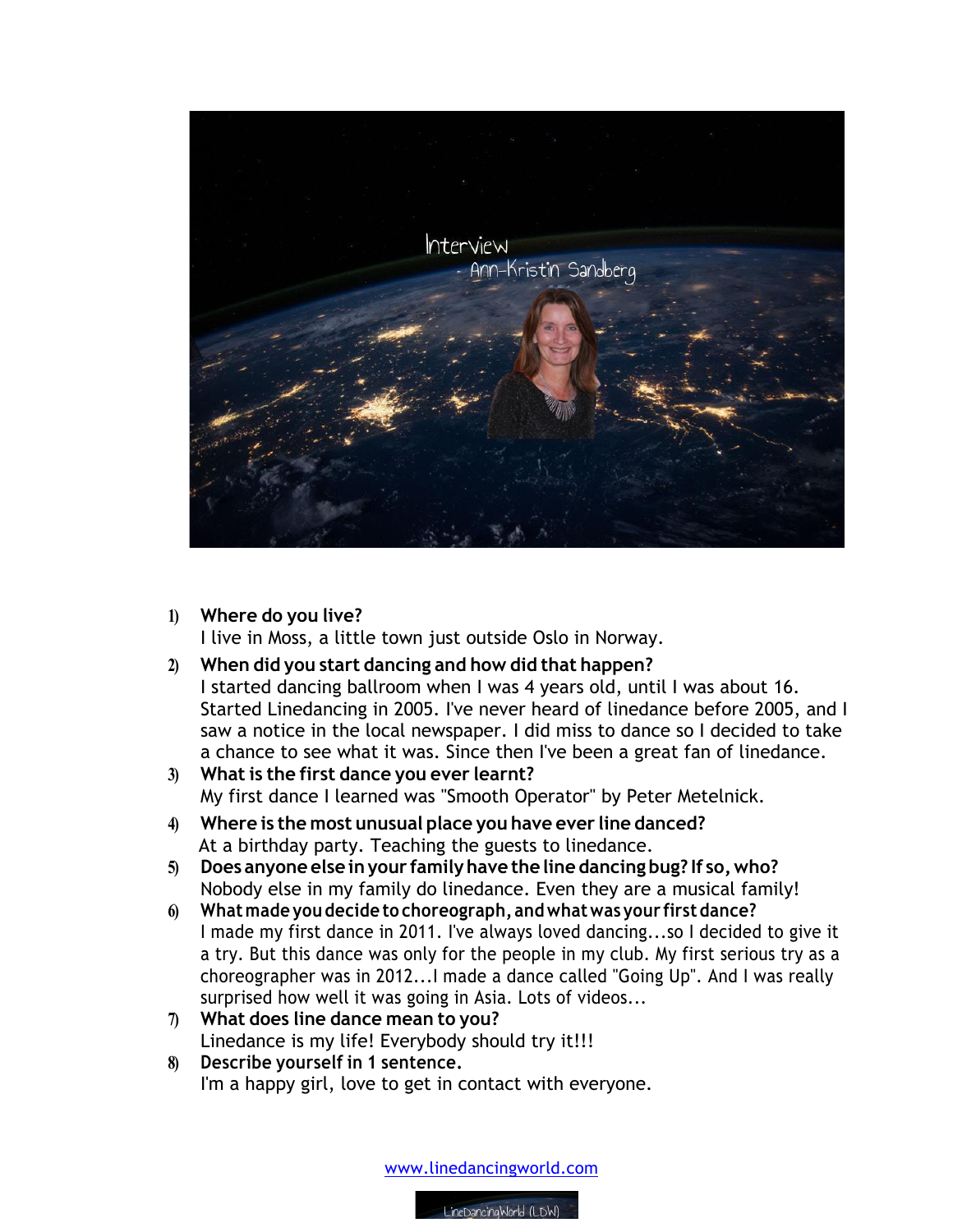

**1) Where do you live?**

I live in Moss, a little town just outside Oslo in Norway.

**2) When did you start dancing and how did that happen?**

I started dancing ballroom when I was 4 years old, until I was about 16. Started Linedancing in 2005. I've never heard of linedance before 2005, and I saw a notice in the local newspaper. I did miss to dance so I decided to take a chance to see what it was. Since then I've been a great fan of linedance.

- **3) What is the first dance you ever learnt?** My first dance I learned was "Smooth Operator" by Peter Metelnick.
- **4) Where is the most unusual place you have ever line danced?** At a birthday party. Teaching the guests to linedance.
- **5) Does anyone else inyour familyhave the line dancing bug? If so,who?** Nobody else in my family do linedance. Even they are a musical family!
- **6) Whatmade you decide to choreograph, andwhatwas your firstdance?**  I made my first dance in 2011. I've always loved dancing...so I decided to give it a try. But this dance was only for the people in my club. My first serious try as a choreographer was in 2012...I made a dance called "Going Up". And I was really surprised how well it was going in Asia. Lots of videos...
- **7) What does line dance mean to you?** Linedance is my life! Everybody should try it!!!
- **8) Describe yourself in 1 sentence.** I'm a happy girl, love to get in contact with everyone.

www.linedancingworld.com

LineDancingWorld (LDW)